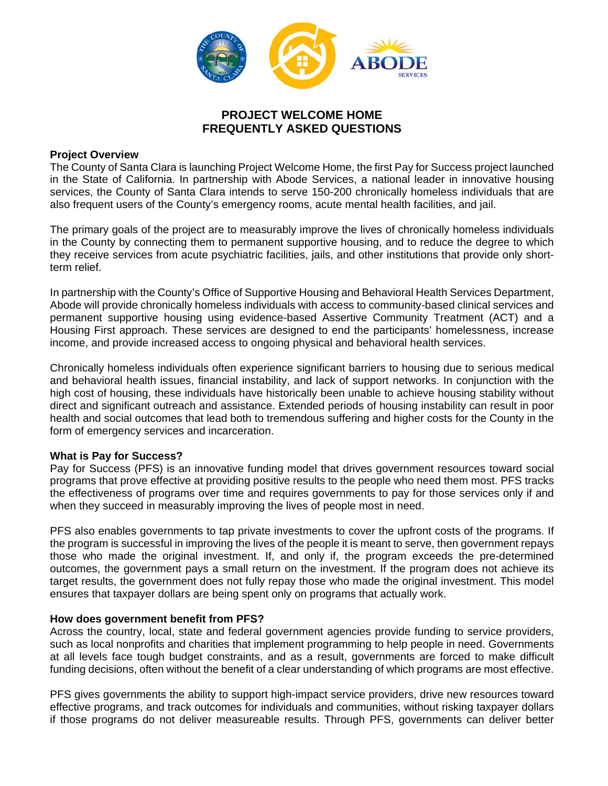

# **PROJECT WELCOME HOME FREQUENTLY ASKED QUESTIONS**

### **Project Overview**

The County of Santa Clara is launching Project Welcome Home, the first Pay for Success project launched in the State of California. In partnership with Abode Services, a national leader in innovative housing services, the County of Santa Clara intends to serve 150-200 chronically homeless individuals that are also frequent users of the County's emergency rooms, acute mental health facilities, and jail.

The primary goals of the project are to measurably improve the lives of chronically homeless individuals in the County by connecting them to permanent supportive housing, and to reduce the degree to which they receive services from acute psychiatric facilities, jails, and other institutions that provide only shortterm relief.

In partnership with the County's Office of Supportive Housing and Behavioral Health Services Department, Abode will provide chronically homeless individuals with access to community-based clinical services and permanent supportive housing using evidence-based Assertive Community Treatment (ACT) and a Housing First approach. These services are designed to end the participants' homelessness, increase income, and provide increased access to ongoing physical and behavioral health services.

Chronically homeless individuals often experience significant barriers to housing due to serious medical and behavioral health issues, financial instability, and lack of support networks. In conjunction with the high cost of housing, these individuals have historically been unable to achieve housing stability without direct and significant outreach and assistance. Extended periods of housing instability can result in poor health and social outcomes that lead both to tremendous suffering and higher costs for the County in the form of emergency services and incarceration.

### **What is Pay for Success?**

Pay for Success (PFS) is an innovative funding model that drives government resources toward social programs that prove effective at providing positive results to the people who need them most. PFS tracks the effectiveness of programs over time and requires governments to pay for those services only if and when they succeed in measurably improving the lives of people most in need.

PFS also enables governments to tap private investments to cover the upfront costs of the programs. If the program is successful in improving the lives of the people it is meant to serve, then government repays those who made the original investment. If, and only if, the program exceeds the pre-determined outcomes, the government pays a small return on the investment. If the program does not achieve its target results, the government does not fully repay those who made the original investment. This model ensures that taxpayer dollars are being spent only on programs that actually work.

### **How does government benefit from PFS?**

Across the country, local, state and federal government agencies provide funding to service providers, such as local nonprofits and charities that implement programming to help people in need. Governments at all levels face tough budget constraints, and as a result, governments are forced to make difficult funding decisions, often without the benefit of a clear understanding of which programs are most effective.

PFS gives governments the ability to support high-impact service providers, drive new resources toward effective programs, and track outcomes for individuals and communities, without risking taxpayer dollars if those programs do not deliver measureable results. Through PFS, governments can deliver better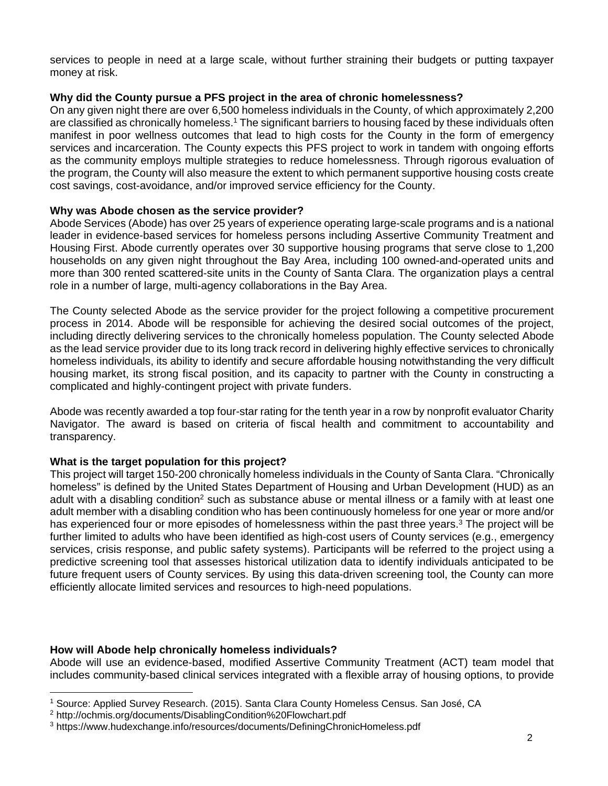services to people in need at a large scale, without further straining their budgets or putting taxpayer money at risk.

## **Why did the County pursue a PFS project in the area of chronic homelessness?**

On any given night there are over 6,500 homeless individuals in the County, of which approximately 2,200 are classified as chronically homeless.1 The significant barriers to housing faced by these individuals often manifest in poor wellness outcomes that lead to high costs for the County in the form of emergency services and incarceration. The County expects this PFS project to work in tandem with ongoing efforts as the community employs multiple strategies to reduce homelessness. Through rigorous evaluation of the program, the County will also measure the extent to which permanent supportive housing costs create cost savings, cost-avoidance, and/or improved service efficiency for the County.

## **Why was Abode chosen as the service provider?**

Abode Services (Abode) has over 25 years of experience operating large-scale programs and is a national leader in evidence-based services for homeless persons including Assertive Community Treatment and Housing First. Abode currently operates over 30 supportive housing programs that serve close to 1,200 households on any given night throughout the Bay Area, including 100 owned-and-operated units and more than 300 rented scattered-site units in the County of Santa Clara. The organization plays a central role in a number of large, multi-agency collaborations in the Bay Area.

The County selected Abode as the service provider for the project following a competitive procurement process in 2014. Abode will be responsible for achieving the desired social outcomes of the project, including directly delivering services to the chronically homeless population. The County selected Abode as the lead service provider due to its long track record in delivering highly effective services to chronically homeless individuals, its ability to identify and secure affordable housing notwithstanding the very difficult housing market, its strong fiscal position, and its capacity to partner with the County in constructing a complicated and highly-contingent project with private funders.

Abode was recently awarded a top four-star rating for the tenth year in a row by nonprofit evaluator Charity Navigator. The award is based on criteria of fiscal health and commitment to accountability and transparency.

## **What is the target population for this project?**

This project will target 150-200 chronically homeless individuals in the County of Santa Clara. "Chronically homeless" is defined by the United States Department of Housing and Urban Development (HUD) as an adult with a disabling condition<sup>2</sup> such as substance abuse or mental illness or a family with at least one adult member with a disabling condition who has been continuously homeless for one year or more and/or has experienced four or more episodes of homelessness within the past three years.<sup>3</sup> The project will be further limited to adults who have been identified as high-cost users of County services (e.g., emergency services, crisis response, and public safety systems). Participants will be referred to the project using a predictive screening tool that assesses historical utilization data to identify individuals anticipated to be future frequent users of County services. By using this data-driven screening tool, the County can more efficiently allocate limited services and resources to high-need populations.

### **How will Abode help chronically homeless individuals?**

Abode will use an evidence-based, modified Assertive Community Treatment (ACT) team model that includes community-based clinical services integrated with a flexible array of housing options, to provide

<sup>1</sup> Source: Applied Survey Research. (2015). Santa Clara County Homeless Census. San José, CA

<sup>2</sup> http://ochmis.org/documents/DisablingCondition%20Flowchart.pdf

<sup>3</sup> https://www.hudexchange.info/resources/documents/DefiningChronicHomeless.pdf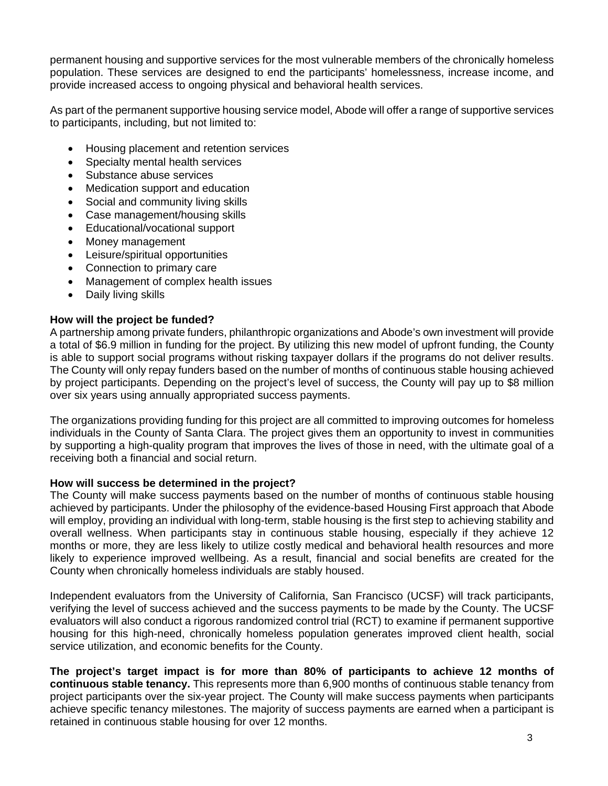permanent housing and supportive services for the most vulnerable members of the chronically homeless population. These services are designed to end the participants' homelessness, increase income, and provide increased access to ongoing physical and behavioral health services.

As part of the permanent supportive housing service model, Abode will offer a range of supportive services to participants, including, but not limited to:

- Housing placement and retention services
- Specialty mental health services
- Substance abuse services
- Medication support and education
- Social and community living skills
- Case management/housing skills
- Educational/vocational support
- Money management
- Leisure/spiritual opportunities
- Connection to primary care
- Management of complex health issues
- Daily living skills

## **How will the project be funded?**

A partnership among private funders, philanthropic organizations and Abode's own investment will provide a total of \$6.9 million in funding for the project. By utilizing this new model of upfront funding, the County is able to support social programs without risking taxpayer dollars if the programs do not deliver results. The County will only repay funders based on the number of months of continuous stable housing achieved by project participants. Depending on the project's level of success, the County will pay up to \$8 million over six years using annually appropriated success payments.

The organizations providing funding for this project are all committed to improving outcomes for homeless individuals in the County of Santa Clara. The project gives them an opportunity to invest in communities by supporting a high-quality program that improves the lives of those in need, with the ultimate goal of a receiving both a financial and social return.

### **How will success be determined in the project?**

The County will make success payments based on the number of months of continuous stable housing achieved by participants. Under the philosophy of the evidence-based Housing First approach that Abode will employ, providing an individual with long-term, stable housing is the first step to achieving stability and overall wellness. When participants stay in continuous stable housing, especially if they achieve 12 months or more, they are less likely to utilize costly medical and behavioral health resources and more likely to experience improved wellbeing. As a result, financial and social benefits are created for the County when chronically homeless individuals are stably housed.

Independent evaluators from the University of California, San Francisco (UCSF) will track participants, verifying the level of success achieved and the success payments to be made by the County. The UCSF evaluators will also conduct a rigorous randomized control trial (RCT) to examine if permanent supportive housing for this high-need, chronically homeless population generates improved client health, social service utilization, and economic benefits for the County.

**The project's target impact is for more than 80% of participants to achieve 12 months of continuous stable tenancy.** This represents more than 6,900 months of continuous stable tenancy from project participants over the six-year project. The County will make success payments when participants achieve specific tenancy milestones. The majority of success payments are earned when a participant is retained in continuous stable housing for over 12 months.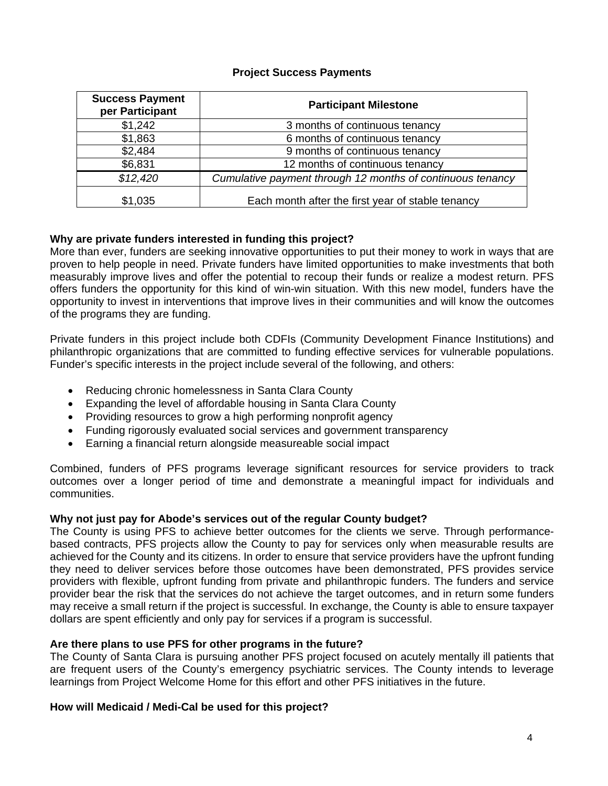## **Project Success Payments**

| <b>Success Payment</b><br>per Participant | <b>Participant Milestone</b>                               |
|-------------------------------------------|------------------------------------------------------------|
| \$1,242                                   | 3 months of continuous tenancy                             |
| \$1,863                                   | 6 months of continuous tenancy                             |
| \$2,484                                   | 9 months of continuous tenancy                             |
| \$6,831                                   | 12 months of continuous tenancy                            |
| \$12,420                                  | Cumulative payment through 12 months of continuous tenancy |
| \$1,035                                   | Each month after the first year of stable tenancy          |

## **Why are private funders interested in funding this project?**

More than ever, funders are seeking innovative opportunities to put their money to work in ways that are proven to help people in need. Private funders have limited opportunities to make investments that both measurably improve lives and offer the potential to recoup their funds or realize a modest return. PFS offers funders the opportunity for this kind of win-win situation. With this new model, funders have the opportunity to invest in interventions that improve lives in their communities and will know the outcomes of the programs they are funding.

Private funders in this project include both CDFIs (Community Development Finance Institutions) and philanthropic organizations that are committed to funding effective services for vulnerable populations. Funder's specific interests in the project include several of the following, and others:

- Reducing chronic homelessness in Santa Clara County
- Expanding the level of affordable housing in Santa Clara County
- Providing resources to grow a high performing nonprofit agency
- Funding rigorously evaluated social services and government transparency
- Earning a financial return alongside measureable social impact

Combined, funders of PFS programs leverage significant resources for service providers to track outcomes over a longer period of time and demonstrate a meaningful impact for individuals and communities.

## **Why not just pay for Abode's services out of the regular County budget?**

The County is using PFS to achieve better outcomes for the clients we serve. Through performancebased contracts, PFS projects allow the County to pay for services only when measurable results are achieved for the County and its citizens. In order to ensure that service providers have the upfront funding they need to deliver services before those outcomes have been demonstrated, PFS provides service providers with flexible, upfront funding from private and philanthropic funders. The funders and service provider bear the risk that the services do not achieve the target outcomes, and in return some funders may receive a small return if the project is successful. In exchange, the County is able to ensure taxpayer dollars are spent efficiently and only pay for services if a program is successful.

### **Are there plans to use PFS for other programs in the future?**

The County of Santa Clara is pursuing another PFS project focused on acutely mentally ill patients that are frequent users of the County's emergency psychiatric services. The County intends to leverage learnings from Project Welcome Home for this effort and other PFS initiatives in the future.

### **How will Medicaid / Medi-Cal be used for this project?**